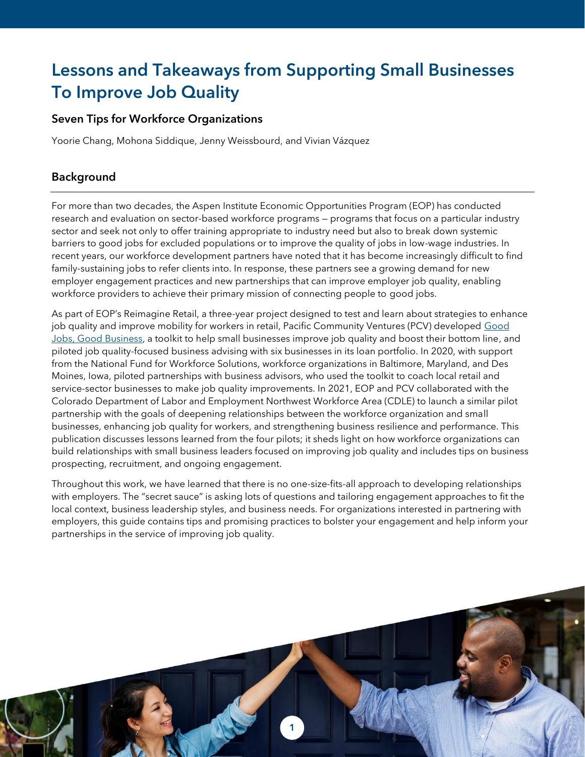# Lessons and Takeaways from Supporting Small Businesses To Improve Job Quality

# Seven Tips for Workforce Organizations

Yoorie Chang, Mohona Siddique, Jenny Weissbourd, and Vivian Vázquez

# Background

For more than two decades, the Aspen Institute Economic Opportunities Program (EOP) has conducted research and evaluation on sector-based workforce programs — programs that focus on a particular industry sector and seek not only to offer training appropriate to industry need but also to break down systemic barriers to good jobs for excluded populations or to improve the quality of jobs in low-wage industries. In recent years, our workforce development partners have noted that it has become increasingly difficult to find family-sustaining jobs to refer clients into. In response, these partners see a growing demand for new employer engagement practices and new partnerships that can improve employer job quality, enabling workforce providers to achieve their primary mission of connecting people to good jobs.

As part of EOP's Reimagine Retail, a three-year project designed to test and learn about strategies to enhance job quality and improve mobility for workers in retail, Pacific Community Ventures (PCV) developed Good [Jobs, Good Business,](https://goodjobs.pacificcommunityventures.org/) a toolkit to help small businesses improve job quality and boost their bottom line, and piloted job quality-focused business advising with six businesses in its loan portfolio. In 2020, with support from the National Fund for Workforce Solutions, workforce organizations in Baltimore, Maryland, and Des Moines, Iowa, piloted partnerships with business advisors, who used the toolkit to coach local retail and service-sector businesses to make job quality improvements. In 2021, EOP and PCV collaborated with the Colorado Department of Labor and Employment Northwest Workforce Area (CDLE) to launch a similar pilot partnership with the goals of deepening relationships between the workforce organization and small businesses, enhancing job quality for workers, and strengthening business resilience and performance. This publication discusses lessons learned from the four pilots; it sheds light on how workforce organizations can build relationships with small business leaders focused on improving job quality and includes tips on business prospecting, recruitment, and ongoing engagement.

Throughout this work, we have learned that there is no one-size-fits-all approach to developing relationships with employers. The "secret sauce" is asking lots of questions and tailoring engagement approaches to fit the local context, business leadership styles, and business needs. For organizations interested in partnering with employers, this guide contains tips and promising practices to bolster your engagement and help inform your partnerships in the service of improving job quality.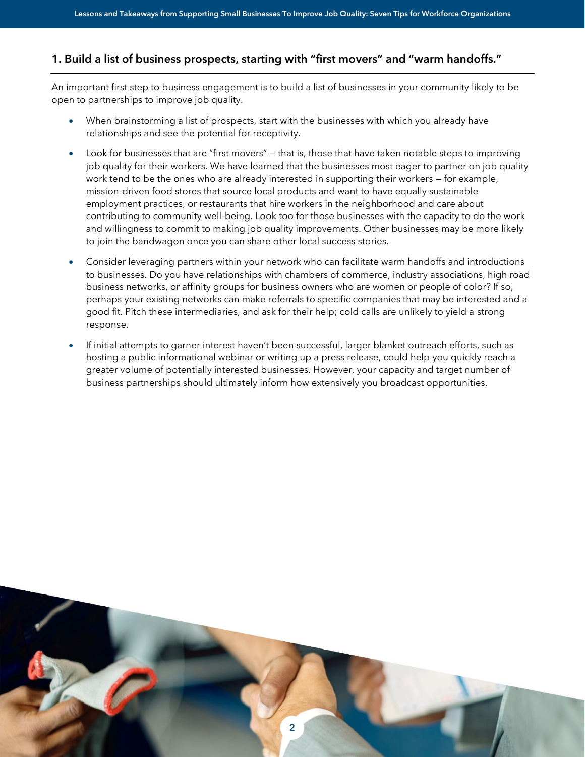# 1. Build a list of business prospects, starting with "first movers" and "warm handoffs."

An important first step to business engagement is to build a list of businesses in your community likely to be open to partnerships to improve job quality.

- When brainstorming a list of prospects, start with the businesses with which you already have relationships and see the potential for receptivity.
- Look for businesses that are "first movers" that is, those that have taken notable steps to improving job quality for their workers. We have learned that the businesses most eager to partner on job quality work tend to be the ones who are already interested in supporting their workers — for example, mission-driven food stores that source local products and want to have equally sustainable employment practices, or restaurants that hire workers in the neighborhood and care about contributing to community well-being. Look too for those businesses with the capacity to do the work and willingness to commit to making job quality improvements. Other businesses may be more likely to join the bandwagon once you can share other local success stories.
- Consider leveraging partners within your network who can facilitate warm handoffs and introductions to businesses. Do you have relationships with chambers of commerce, industry associations, high road business networks, or affinity groups for business owners who are women or people of color? If so, perhaps your existing networks can make referrals to specific companies that may be interested and a good fit. Pitch these intermediaries, and ask for their help; cold calls are unlikely to yield a strong response.
- If initial attempts to garner interest haven't been successful, larger blanket outreach efforts, such as hosting a public informational webinar or writing up a press release, could help you quickly reach a greater volume of potentially interested businesses. However, your capacity and target number of business partnerships should ultimately inform how extensively you broadcast opportunities.

2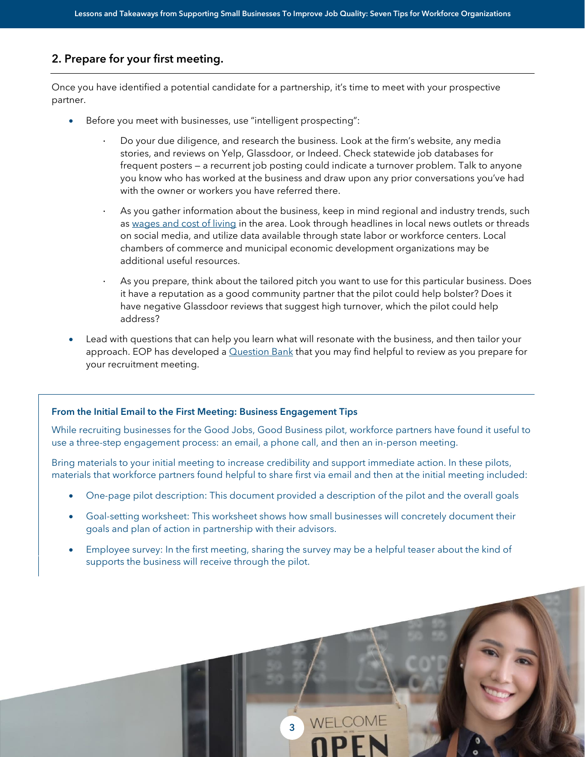## 2. Prepare for your first meeting.

Once you have identified a potential candidate for a partnership, it's time to meet with your prospective partner.

- Before you meet with businesses, use "intelligent prospecting":
	- · Do your due diligence, and research the business. Look at the firm's website, any media stories, and reviews on Yelp, Glassdoor, or Indeed. Check statewide job databases for frequent posters — a recurrent job posting could indicate a turnover problem. Talk to anyone you know who has worked at the business and draw upon any prior conversations you've had with the owner or workers you have referred there.
	- As you gather information about the business, keep in mind regional and industry trends, such as [wages and cost of living](https://livingwage.mit.edu/) in the area. Look through headlines in local news outlets or threads on social media, and utilize data available through state labor or workforce centers. Local chambers of commerce and municipal economic development organizations may be additional useful resources.
	- As you prepare, think about the tailored pitch you want to use for this particular business. Does it have a reputation as a good community partner that the pilot could help bolster? Does it have negative Glassdoor reviews that suggest high turnover, which the pilot could help address?
- Lead with questions that can help you learn what will resonate with the business, and then tailor your approach. EOP has developed a  $\Omega$ uestion Bank that you may find helpful to review as you prepare for your recruitment meeting.

#### From the Initial Email to the First Meeting: Business Engagement Tips

While recruiting businesses for the Good Jobs, Good Business pilot, workforce partners have found it useful to use a three-step engagement process: an email, a phone call, and then an in-person meeting.

Bring materials to your initial meeting to increase credibility and support immediate action. In these pilots, materials that workforce partners found helpful to share first via email and then at the initial meeting included:

- One-page pilot description: This document provided a description of the pilot and the overall goals
- Goal-setting worksheet: This worksheet shows how small businesses will concretely document their goals and plan of action in partnership with their advisors.
- Employee survey: In the first meeting, sharing the survey may be a helpful teaser about the kind of supports the business will receive through the pilot.

3

3

WELCOME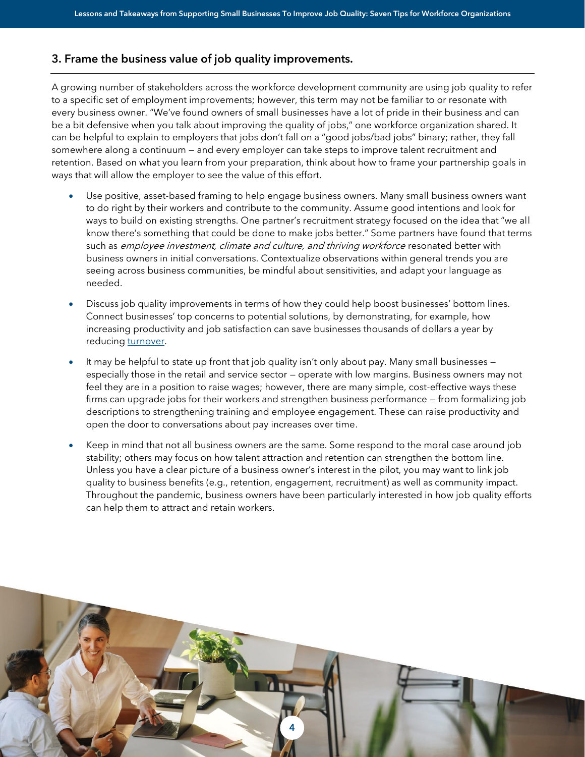## 3. Frame the business value of job quality improvements.

A growing number of stakeholders across the workforce development community are using job quality to refer to a specific set of employment improvements; however, this term may not be familiar to or resonate with every business owner. "We've found owners of small businesses have a lot of pride in their business and can be a bit defensive when you talk about improving the quality of jobs," one workforce organization shared. It can be helpful to explain to employers that jobs don't fall on a "good jobs/bad jobs" binary; rather, they fall somewhere along a continuum — and every employer can take steps to improve talent recruitment and retention. Based on what you learn from your preparation, think about how to frame your partnership goals in ways that will allow the employer to see the value of this effort.

- Use positive, asset-based framing to help engage business owners. Many small business owners want to do right by their workers and contribute to the community. Assume good intentions and look for ways to build on existing strengths. One partner's recruitment strategy focused on the idea that "we all know there's something that could be done to make jobs better." Some partners have found that terms such as employee investment, climate and culture, and thriving workforce resonated better with business owners in initial conversations. Contextualize observations within general trends you are seeing across business communities, be mindful about sensitivities, and adapt your language as needed.
- Discuss job quality improvements in terms of how they could help boost businesses' bottom lines. Connect businesses' top concerns to potential solutions, by demonstrating, for example, how increasing productivity and job satisfaction can save businesses thousands of dollars a year by reducing turnover.
- It may be helpful to state up front that job quality isn't only about pay. Many small businesses especially those in the retail and service sector — operate with low margins. Business owners may not feel they are in a position to raise wages; however, there are many simple, cost-effective ways these firms can upgrade jobs for their workers and strengthen business performance — from formalizing job descriptions to strengthening training and employee engagement. These can raise productivity and open the door to conversations about pay increases over time.
- Keep in mind that not all business owners are the same. Some respond to the moral case around job stability; others may focus on how talent attraction and retention can strengthen the bottom line. Unless you have a clear picture of a business owner's interest in the pilot, you may want to link job quality to business benefits (e.g., retention, engagement, recruitment) as well as community impact. Throughout the pandemic, business owners have been particularly interested in how job quality efforts can help them to attract and retain workers.

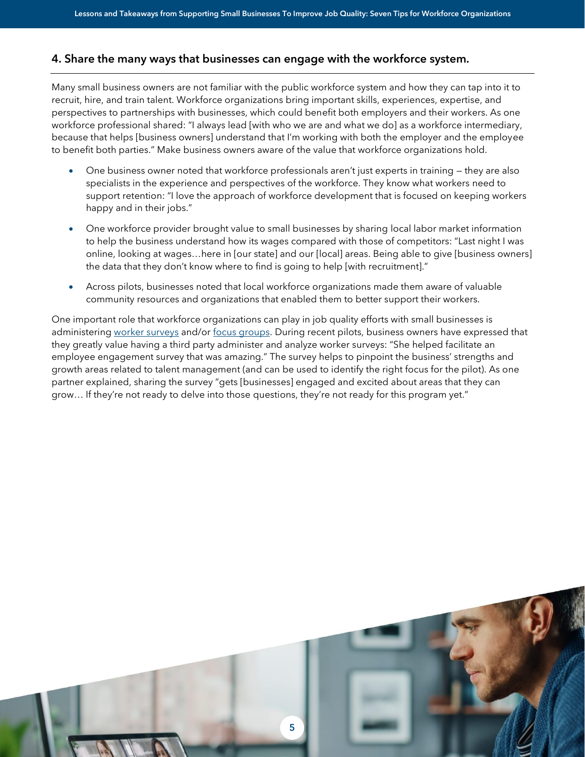#### 4. Share the many ways that businesses can engage with the workforce system.

Many small business owners are not familiar with the public workforce system and how they can tap into it to recruit, hire, and train talent. Workforce organizations bring important skills, experiences, expertise, and perspectives to partnerships with businesses, which could benefit both employers and their workers. As one workforce professional shared: "I always lead [with who we are and what we do] as a workforce intermediary, because that helps [business owners] understand that I'm working with both the employer and the employee to benefit both parties." Make business owners aware of the value that workforce organizations hold.

- One business owner noted that workforce professionals aren't just experts in training they are also specialists in the experience and perspectives of the workforce. They know what workers need to support retention: "I love the approach of workforce development that is focused on keeping workers happy and in their jobs."
- One workforce provider brought value to small businesses by sharing local labor market information to help the business understand how its wages compared with those of competitors: "Last night I was online, looking at wages…here in [our state] and our [local] areas. Being able to give [business owners] the data that they don't know where to find is going to help [with recruitment]."
- Across pilots, businesses noted that local workforce organizations made them aware of valuable community resources and organizations that enabled them to better support their workers.

One important role that workforce organizations can play in job quality efforts with small businesses is administering [worker surveys](https://www.aspeninstitute.org/publications/centering-worker-voice-in-employer-engagement-and-program-design-a-tool-for-conducting-worker-surveys-for-workforce-organizations/) and/or [focus groups.](https://www.aspeninstitute.org/publications/centering-worker-voice-in-employer-engagement-and-program-design-a-guide-for-workforce-organizations/) During recent pilots, business owners have expressed that they greatly value having a third party administer and analyze worker surveys: "She helped facilitate an employee engagement survey that was amazing." The survey helps to pinpoint the business' strengths and growth areas related to talent management (and can be used to identify the right focus for the pilot). As one partner explained, sharing the survey "gets [businesses] engaged and excited about areas that they can grow… If they're not ready to delve into those questions, they're not ready for this program yet."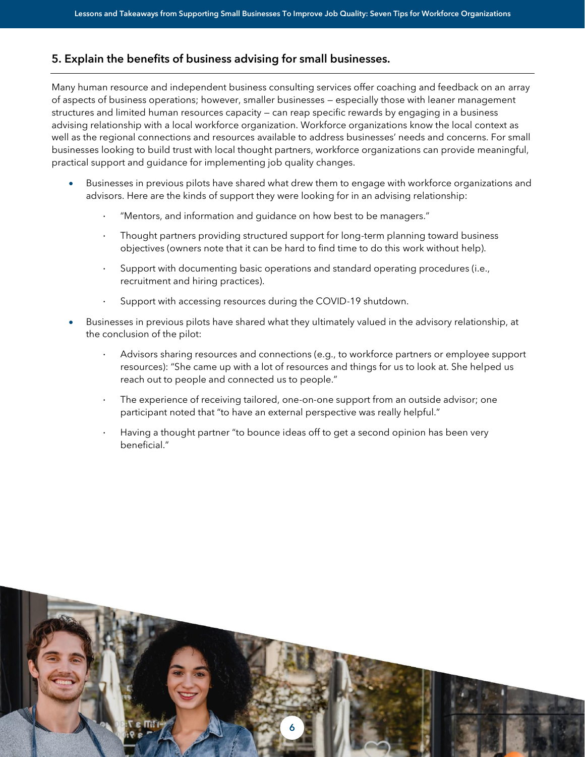## 5. Explain the benefits of business advising for small businesses.

Many human resource and independent business consulting services offer coaching and feedback on an array of aspects of business operations; however, smaller businesses — especially those with leaner management structures and limited human resources capacity — can reap specific rewards by engaging in a business advising relationship with a local workforce organization. Workforce organizations know the local context as well as the regional connections and resources available to address businesses' needs and concerns. For small businesses looking to build trust with local thought partners, workforce organizations can provide meaningful, practical support and guidance for implementing job quality changes.

- Businesses in previous pilots have shared what drew them to engage with workforce organizations and advisors. Here are the kinds of support they were looking for in an advising relationship:
	- · "Mentors, and information and guidance on how best to be managers."
	- Thought partners providing structured support for long-term planning toward business objectives (owners note that it can be hard to find time to do this work without help).
	- · Support with documenting basic operations and standard operating procedures (i.e., recruitment and hiring practices).
	- Support with accessing resources during the COVID-19 shutdown.
- Businesses in previous pilots have shared what they ultimately valued in the advisory relationship, at the conclusion of the pilot:
	- Advisors sharing resources and connections (e.g., to workforce partners or employee support resources): "She came up with a lot of resources and things for us to look at. She helped us reach out to people and connected us to people."
	- The experience of receiving tailored, one-on-one support from an outside advisor; one participant noted that "to have an external perspective was really helpful."
	- Having a thought partner "to bounce ideas off to get a second opinion has been very beneficial."

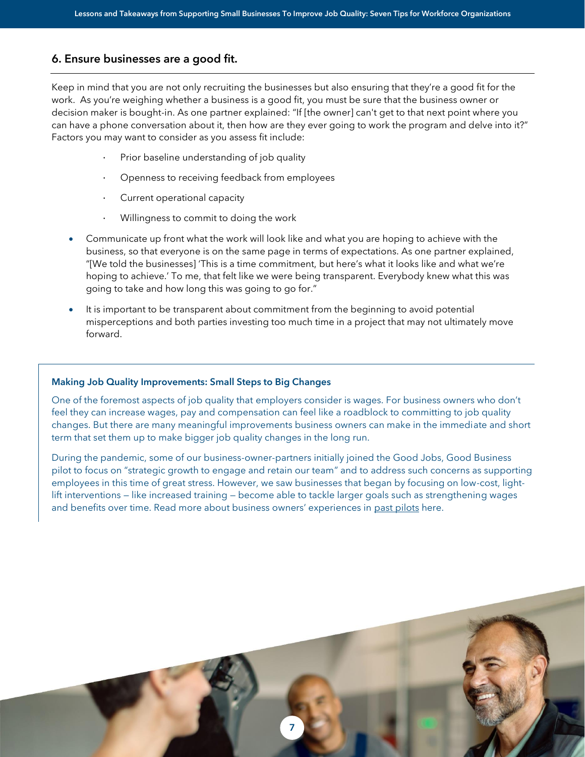#### 6. Ensure businesses are a good fit.

Keep in mind that you are not only recruiting the businesses but also ensuring that they're a good fit for the work. As you're weighing whether a business is a good fit, you must be sure that the business owner or decision maker is bought-in. As one partner explained: "If [the owner] can't get to that next point where you can have a phone conversation about it, then how are they ever going to work the program and delve into it?" Factors you may want to consider as you assess fit include:

- Prior baseline understanding of job quality
- · Openness to receiving feedback from employees
- · Current operational capacity
- · Willingness to commit to doing the work
- Communicate up front what the work will look like and what you are hoping to achieve with the business, so that everyone is on the same page in terms of expectations. As one partner explained, "[We told the businesses] 'This is a time commitment, but here's what it looks like and what we're hoping to achieve.' To me, that felt like we were being transparent. Everybody knew what this was going to take and how long this was going to go for."
- It is important to be transparent about commitment from the beginning to avoid potential misperceptions and both parties investing too much time in a project that may not ultimately move forward.

#### Making Job Quality Improvements: Small Steps to Big Changes

One of the foremost aspects of job quality that employers consider is wages. For business owners who don't feel they can increase wages, pay and compensation can feel like a roadblock to committing to job quality changes. But there are many meaningful improvements business owners can make in the immediate and short term that set them up to make bigger job quality changes in the long run.

During the pandemic, some of our business-owner-partners initially joined the Good Jobs, Good Business pilot to focus on "strategic growth to engage and retain our team" and to address such concerns as supporting employees in this time of great stress. However, we saw businesses that began by focusing on low-cost, lightlift interventions — like increased training — become able to tackle larger goals such as strengthening wages and benefits over time. Read more about business owners' experiences in [past pilots](https://www.pacificcommunityventures.org/success-stories/batter-bakery/) here.

7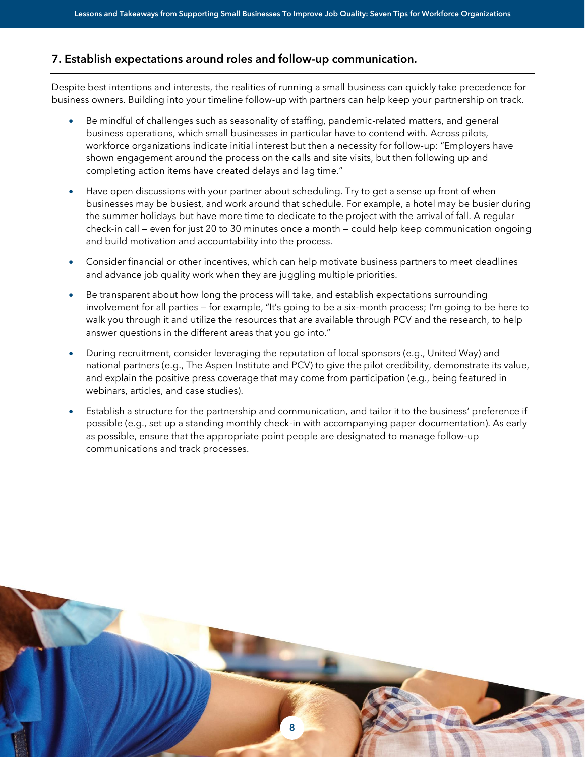#### 7. Establish expectations around roles and follow-up communication.

Despite best intentions and interests, the realities of running a small business can quickly take precedence for business owners. Building into your timeline follow-up with partners can help keep your partnership on track.

- Be mindful of challenges such as seasonality of staffing, pandemic-related matters, and general business operations, which small businesses in particular have to contend with. Across pilots, workforce organizations indicate initial interest but then a necessity for follow-up: "Employers have shown engagement around the process on the calls and site visits, but then following up and completing action items have created delays and lag time."
- Have open discussions with your partner about scheduling. Try to get a sense up front of when businesses may be busiest, and work around that schedule. For example, a hotel may be busier during the summer holidays but have more time to dedicate to the project with the arrival of fall. A regular check-in call — even for just 20 to 30 minutes once a month — could help keep communication ongoing and build motivation and accountability into the process.
- Consider financial or other incentives, which can help motivate business partners to meet deadlines and advance job quality work when they are juggling multiple priorities.
- Be transparent about how long the process will take, and establish expectations surrounding involvement for all parties — for example, "It's going to be a six-month process; I'm going to be here to walk you through it and utilize the resources that are available through PCV and the research, to help answer questions in the different areas that you go into."
- During recruitment, consider leveraging the reputation of local sponsors (e.g., United Way) and national partners (e.g., The Aspen Institute and PCV) to give the pilot credibility, demonstrate its value, and explain the positive press coverage that may come from participation (e.g., being featured in webinars, articles, and case studies).
- Establish a structure for the partnership and communication, and tailor it to the business' preference if possible (e.g., set up a standing monthly check-in with accompanying paper documentation). As early as possible, ensure that the appropriate point people are designated to manage follow-up communications and track processes.

8